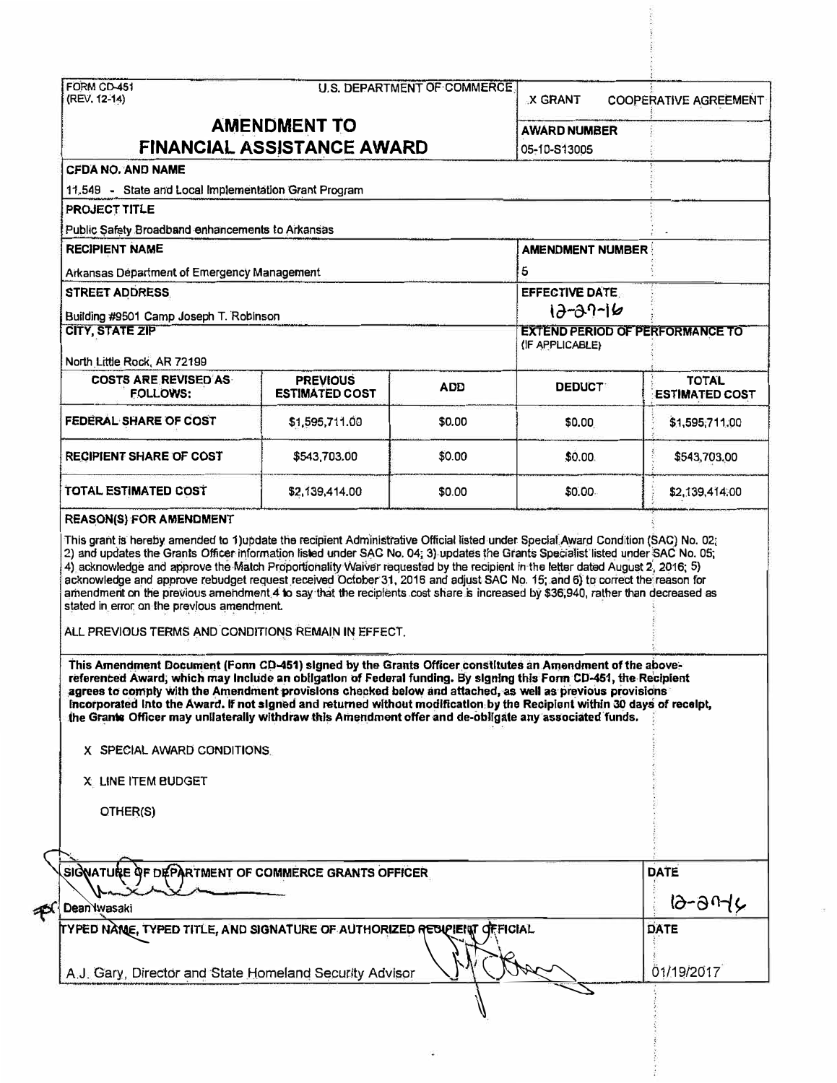|                                                                                                                                                                                                                                                                                                                                                                                                                                                                                                                                                                                                                                                                                                                                                                                                                                       |                                          |            | <b>X GRANT</b>          | <b>COOPERATIVE AGREEMENT</b>           |  |  |
|---------------------------------------------------------------------------------------------------------------------------------------------------------------------------------------------------------------------------------------------------------------------------------------------------------------------------------------------------------------------------------------------------------------------------------------------------------------------------------------------------------------------------------------------------------------------------------------------------------------------------------------------------------------------------------------------------------------------------------------------------------------------------------------------------------------------------------------|------------------------------------------|------------|-------------------------|----------------------------------------|--|--|
| <b>AMENDMENT TO</b><br>FINANCIAL ASSISTANCE AWARD                                                                                                                                                                                                                                                                                                                                                                                                                                                                                                                                                                                                                                                                                                                                                                                     | <b>AWARD NUMBER</b><br>05-10-S13005      |            |                         |                                        |  |  |
| <b>CFDA NO. AND NAME</b>                                                                                                                                                                                                                                                                                                                                                                                                                                                                                                                                                                                                                                                                                                                                                                                                              |                                          |            |                         |                                        |  |  |
| 11.549 - State and Local Implementation Grant Program                                                                                                                                                                                                                                                                                                                                                                                                                                                                                                                                                                                                                                                                                                                                                                                 |                                          |            |                         |                                        |  |  |
| PROJECT TITLE                                                                                                                                                                                                                                                                                                                                                                                                                                                                                                                                                                                                                                                                                                                                                                                                                         |                                          |            |                         |                                        |  |  |
|                                                                                                                                                                                                                                                                                                                                                                                                                                                                                                                                                                                                                                                                                                                                                                                                                                       |                                          |            |                         |                                        |  |  |
| Public Safety Broadband enhancements to Arkansas<br><b>RECIPIENT NAME</b>                                                                                                                                                                                                                                                                                                                                                                                                                                                                                                                                                                                                                                                                                                                                                             |                                          |            | <b>AMENDMENT NUMBER</b> |                                        |  |  |
|                                                                                                                                                                                                                                                                                                                                                                                                                                                                                                                                                                                                                                                                                                                                                                                                                                       |                                          |            |                         |                                        |  |  |
| Arkansas Department of Emergency Management                                                                                                                                                                                                                                                                                                                                                                                                                                                                                                                                                                                                                                                                                                                                                                                           |                                          |            | 5                       |                                        |  |  |
| <b>STREET ADDRESS</b>                                                                                                                                                                                                                                                                                                                                                                                                                                                                                                                                                                                                                                                                                                                                                                                                                 |                                          |            | <b>EFFECTIVE DATE.</b>  |                                        |  |  |
| Building #9501 Camp Joseph T. Robinson                                                                                                                                                                                                                                                                                                                                                                                                                                                                                                                                                                                                                                                                                                                                                                                                |                                          |            | $12 - 39 - 16$          |                                        |  |  |
| <b>CITY, STATE ZIP</b><br>North Little Rock, AR 72199                                                                                                                                                                                                                                                                                                                                                                                                                                                                                                                                                                                                                                                                                                                                                                                 |                                          |            | (IF APPLICABLE)         | <b>EXTEND PERIOD OF PERFORMANCE TO</b> |  |  |
| <b>COSTS ARE REVISED AS</b><br><b>FOLLOWS:</b>                                                                                                                                                                                                                                                                                                                                                                                                                                                                                                                                                                                                                                                                                                                                                                                        | <b>PREVIOUS</b><br><b>ESTIMATED COST</b> | <b>ADD</b> | <b>DEDUCT</b>           | <b>TOTAL</b><br><b>ESTIMATED COST</b>  |  |  |
| FEDERAL SHARE OF COST                                                                                                                                                                                                                                                                                                                                                                                                                                                                                                                                                                                                                                                                                                                                                                                                                 | \$1,595,711.00                           | \$0.00     | \$0.00                  | \$1,595,711.00                         |  |  |
| <b>RECIPIENT SHARE OF COST</b>                                                                                                                                                                                                                                                                                                                                                                                                                                                                                                                                                                                                                                                                                                                                                                                                        | \$543,703.00                             | \$0.00     | \$0.00                  | \$543,703.00                           |  |  |
|                                                                                                                                                                                                                                                                                                                                                                                                                                                                                                                                                                                                                                                                                                                                                                                                                                       |                                          |            |                         |                                        |  |  |
|                                                                                                                                                                                                                                                                                                                                                                                                                                                                                                                                                                                                                                                                                                                                                                                                                                       | \$2,139,414.00                           | \$0.00     | \$0.00                  | \$2,139,414.00                         |  |  |
|                                                                                                                                                                                                                                                                                                                                                                                                                                                                                                                                                                                                                                                                                                                                                                                                                                       |                                          |            |                         |                                        |  |  |
| This Amendment Document (Form CD-451) signed by the Grants Officer constitutes an Amendment of the above-<br>referenced Award, which may include an obligation of Federal funding. By signing this Form CD-451, the Recipient<br>agrees to comply with the Amendment provisions checked below and attached, as well as previous provisions<br>Incorporated into the Award. If not signed and returned without modification by the Recipient within 30 days of receipt,<br>the Grante Officer may unilaterally withdraw this Ameridment offer and de-obligate any associated funds.                                                                                                                                                                                                                                                    |                                          |            |                         |                                        |  |  |
| X SPECIAL AWARD CONDITIONS.                                                                                                                                                                                                                                                                                                                                                                                                                                                                                                                                                                                                                                                                                                                                                                                                           |                                          |            |                         |                                        |  |  |
| X. LINE ITEM BUDGET                                                                                                                                                                                                                                                                                                                                                                                                                                                                                                                                                                                                                                                                                                                                                                                                                   |                                          |            |                         |                                        |  |  |
| OTHER(S)                                                                                                                                                                                                                                                                                                                                                                                                                                                                                                                                                                                                                                                                                                                                                                                                                              |                                          |            |                         |                                        |  |  |
| TOTAL ESTIMATED COST<br><b>REASON(S) FOR AMENDMENT</b><br>This grant is hereby amended to 1)update the recipient Administrative Official listed under Special Award Condition (SAC) No. 02;<br>2) and updates the Grants Officer information listed under SAC No. 04; 3) updates the Grants Specialist listed under SAC No. 05;<br>4) acknowledge and approve the Match Proportionality Waiver requested by the recipient in the letter dated August 2, 2016; 5)<br>acknowledge and approve rebudget request received October 31, 2016 and adjust SAC No. 15; and 6) to correct the reason for<br>amendment on the previous amendment 4 to say that the recipients cost share is increased by \$36,940, rather than decreased as<br>stated in error on the previous amendment.<br>ALL PREVIOUS TERMS AND CONDITIONS REMAIN IN EFFECT. |                                          |            |                         |                                        |  |  |
|                                                                                                                                                                                                                                                                                                                                                                                                                                                                                                                                                                                                                                                                                                                                                                                                                                       |                                          |            |                         | <b>DATE</b>                            |  |  |
| SIGNATURE OF DEPARTMENT OF COMMERCE GRANTS OFFICER<br>Dean Wasaki                                                                                                                                                                                                                                                                                                                                                                                                                                                                                                                                                                                                                                                                                                                                                                     |                                          |            |                         | 12-2016                                |  |  |
| TYPED NAME, TYPED TITLE, AND SIGNATURE OF AUTHORIZED RECUPIENT OFFICIAL                                                                                                                                                                                                                                                                                                                                                                                                                                                                                                                                                                                                                                                                                                                                                               |                                          |            |                         | <b>DATE</b><br>01/19/2017              |  |  |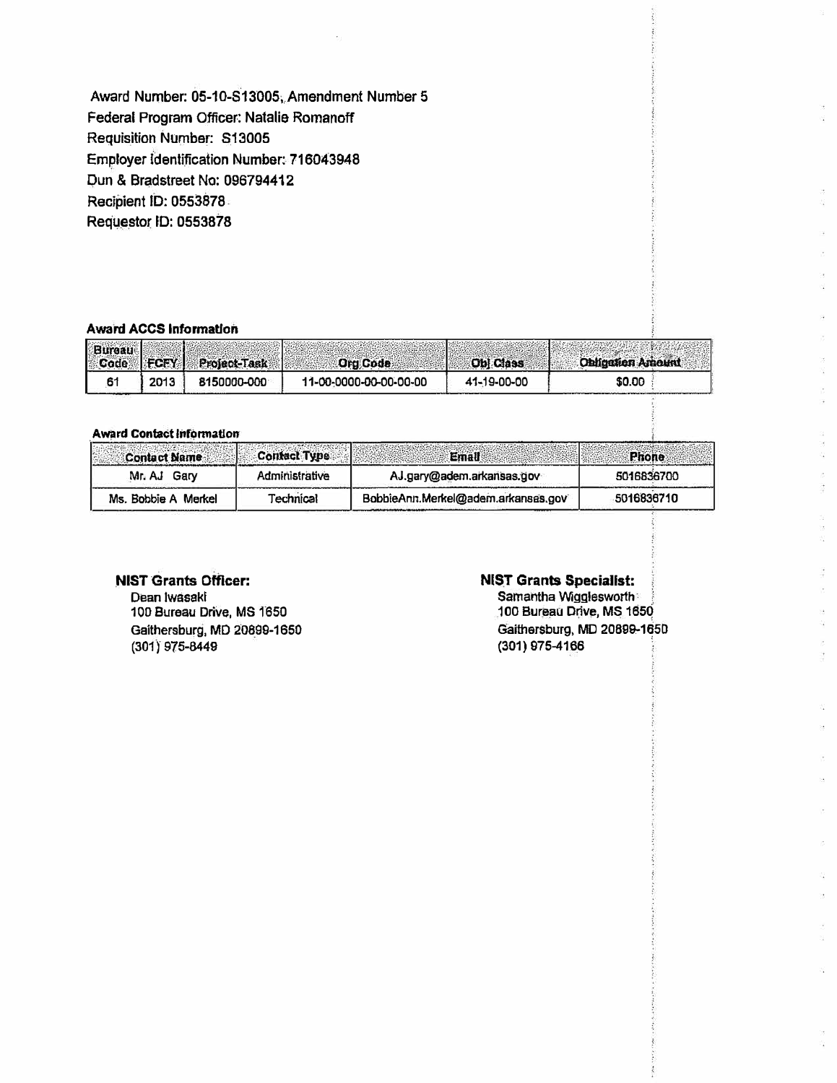**Award Number: 05-10-S13005, Amendment Number 5 Federal Program Officer: Natalie Romanoff Requisition Number: S13005 Employer Identification Number: 716043948 Dun & Bradstreet No: 096794412 Recipient ID: 0553878 Requestor ID: 0553878** 

#### **Award ACCS Information**

|      | Bureau FCFY Project-Task | Ord Code               | <b>Obl Class</b> | <b>Obligation Amount</b> |
|------|--------------------------|------------------------|------------------|--------------------------|
| 2013 | 8150000-000              | 11-00-0000-00-00-00-00 | 41-19-00-00      | \$0.00                   |

#### **Award Contact lnfonnatlon**

| <b>Contact Name</b> | <b>Contact Type</b> | Emall                              | Phone      |
|---------------------|---------------------|------------------------------------|------------|
| Mr. AJ Gary         | Administrative      | AJ.gary@adem.arkansas.gov          | 5016836700 |
| Ms. Bobbie A Merkel | Technical           | BobbieAnn.Merkel@adem.arkansas.gov | 5016836710 |

## NIST Grants Officer:

**Dean lwasakl 1 OD Bureau Drive, MS 1650 Gaithersburg, MD 20899-1650 (301 I 975-8449** 

## NIST Grants Specialist:

**Samantha Wigglesworth 100 Bureau Drive, MS 1ssq Gaithersburg, MD 20899--1�50 (301) 975-4166**

V)

S. ķ. ä.

a<br>B Q. is. ä,

ia<br>M S.

 $\frac{1}{\sqrt{2}}$ ÿ. i. Q.  $\overline{\phantom{a}}$ ä,

ä,

U,  $\ddot{\phantom{a}}$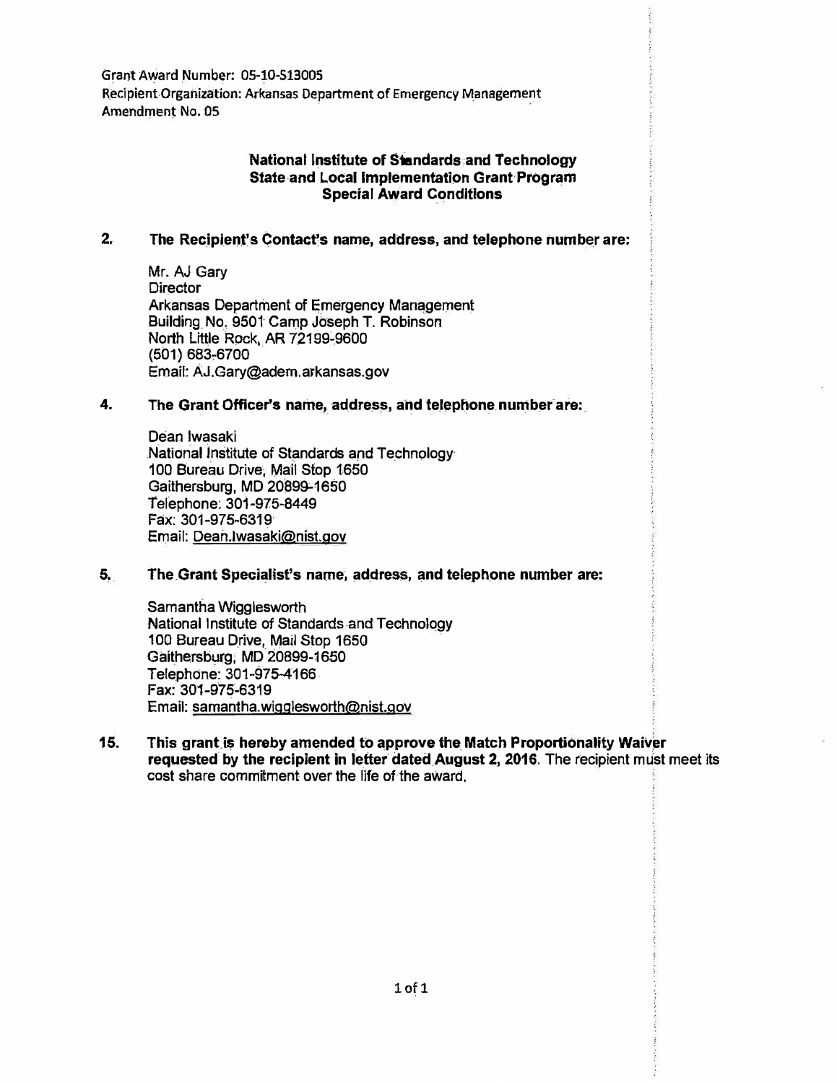**Grant Award Number: 05-10-513005 Recipient Organization: Arkansas Department of Emergency Management Amendment No. 05** 

## **National Institute of Standards and Technology State and Local Implementation Grant Program Special Award Conditions**

## **2. The Recipient's Contact"s name, address, and telephone number are:**

**Mr. AJ Gary Director Arkansas Department of Emergency Management Building No. 9501 Camp Joseph T. Robinson North Little Rock, AR 72199-9600 (501) 683-6700 Email: AJ.Gary@adem.arkansas.gov**

#### **4. The Grant Officer's name, address, and telephone number are:**

**Dean Iwasaki National Institute of Standards and Technology 100 Bureau Drive, Mail Stop 1650 Gaithersburg, MD 20899-1650 Telephone: 301-975-8449 Fax: 301-975-6319 Email: Dean.lwasaki@nist.gov**

## **5. The Grant Specialist's name, address, and telephone number are:**

**Samantha Wigglesworth National Institute of Standards and Technology 100 Bureau Drive, Mail Stop 1650 Gaithersburg, MD 20899-1650 Telephone: 301-975-4166 Fax: 301-975-6319 Email: samantha.w1gglesworth@nist.gov**

**15. This grant is hereby amended to approve the Match Proportionality Waiver requested by the recipient in letter dated August 2, 2016. The recipient must meet its cost share commitment over the life of the award.**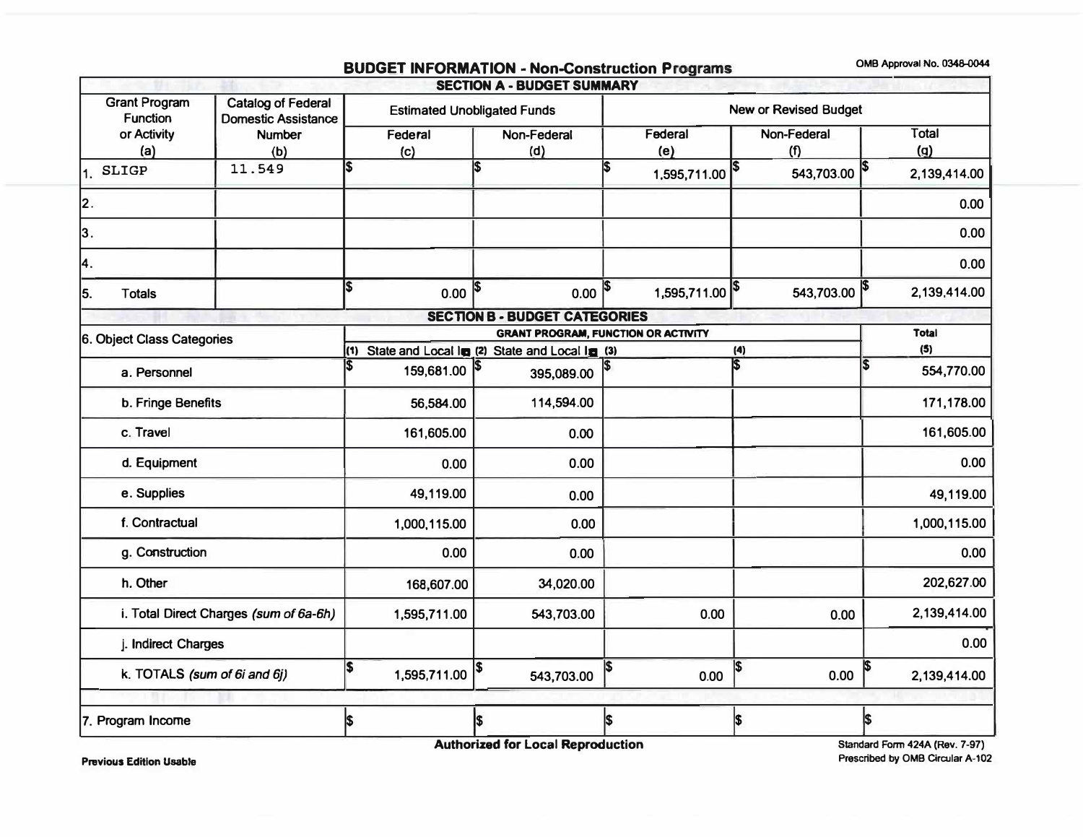# **BUDGET INFORMATION - Non-Construction Programs**

**OMB Approval No. 0348-0044** 

|                                                                                             |                                        |                                    |     |                |     | <b>SECTION A - BUDGET SUMMARY</b>                 |   |                              |     |                    |   |              |
|---------------------------------------------------------------------------------------------|----------------------------------------|------------------------------------|-----|----------------|-----|---------------------------------------------------|---|------------------------------|-----|--------------------|---|--------------|
| <b>Grant Program</b><br>Catalog of Federal<br><b>Function</b><br><b>Domestic Assistance</b> |                                        | <b>Estimated Unobligated Funds</b> |     |                |     | New or Revised Budget                             |   |                              |     |                    |   |              |
| or Activity<br>(a)                                                                          |                                        | <b>Number</b><br>(b)               |     | Federal<br>(c) |     | Non-Federal<br>(d)                                |   | Federal<br>(e)               |     | Non-Federal<br>(f) |   | Total<br>(q) |
| <b>SLIGP</b><br>11.                                                                         |                                        | 11.549                             | 5   |                | l\$ |                                                   |   | $1,595,711.00$ <sup>\$</sup> |     | 543,703.00         |   | 2,139,414.00 |
| 2.                                                                                          |                                        |                                    |     |                |     |                                                   |   |                              |     |                    |   | 0.00         |
| 3.                                                                                          |                                        |                                    |     |                |     |                                                   |   |                              |     |                    |   | 0.00         |
| 4.                                                                                          |                                        |                                    |     |                |     |                                                   |   |                              |     |                    |   | 0.00         |
| 5.<br><b>Totals</b>                                                                         |                                        |                                    | IS. | 0.00           | \$  | 0.00                                              | S | 1,595,711.00 \$              |     | 543,703.00 \$      |   | 2,139,414.00 |
|                                                                                             |                                        |                                    |     |                |     | <b>SECTION B - BUDGET CATEGORIES</b>              |   |                              |     |                    |   |              |
| 6. Object Class Categories                                                                  |                                        |                                    |     |                |     | <b>GRANT PROGRAM, FUNCTION OR ACTIVITY</b>        |   |                              |     |                    |   | <b>Total</b> |
|                                                                                             |                                        |                                    |     |                |     | (1) State and Local In (2) State and Local In (3) |   |                              | (4) |                    |   | (5)          |
|                                                                                             | a. Personnel                           |                                    | l\$ | 159,681.00 \$  |     | 395,089.00                                        |   |                              | Is  |                    | 5 | 554,770.00   |
|                                                                                             | b. Fringe Benefits                     |                                    |     | 56,584.00      |     | 114,594.00                                        |   |                              |     |                    |   | 171,178.00   |
| c. Travel                                                                                   |                                        |                                    |     | 161,605.00     |     | 0.00                                              |   |                              |     |                    |   | 161,605.00   |
|                                                                                             | d. Equipment                           |                                    |     | 0.00           |     | 0.00                                              |   |                              |     |                    |   | 0.00         |
|                                                                                             | e. Supplies                            |                                    |     | 49,119.00      |     | 0.00                                              |   |                              |     |                    |   | 49,119.00    |
|                                                                                             | f. Contractual                         |                                    |     | 1,000,115.00   |     | 0.00                                              |   |                              |     |                    |   | 1,000,115.00 |
|                                                                                             | g. Construction                        |                                    |     | 0.00           |     | 0.00                                              |   |                              |     |                    |   | 0.00         |
|                                                                                             | h. Other                               |                                    |     | 168,607.00     |     | 34,020.00                                         |   |                              |     |                    |   | 202,627.00   |
|                                                                                             | i. Total Direct Charges (sum of 6a-6h) |                                    |     | 1,595,711.00   |     | 543,703.00                                        |   | 0.00                         |     | 0.00               |   | 2,139,414.00 |
|                                                                                             | j. Indirect Charges                    |                                    |     |                |     |                                                   |   |                              |     |                    |   | 0.00         |
|                                                                                             | k. TOTALS (sum of 6i and 6j)           |                                    | \$  | 1,595,711.00   | \$  | 543,703.00                                        |   | 0.00                         |     | 0.00               |   | 2,139,414.00 |
|                                                                                             |                                        |                                    |     |                |     |                                                   |   |                              |     |                    |   |              |
| 7. Program Income                                                                           |                                        |                                    | 5   |                | l\$ |                                                   |   |                              | \$  |                    | 5 |              |

**Authorized for Local Reproduction** 

**Standard Form 424A (Rev. 7-97) Prescribed** by **0MB Circular A-102** 

**Previous Edition** Usable